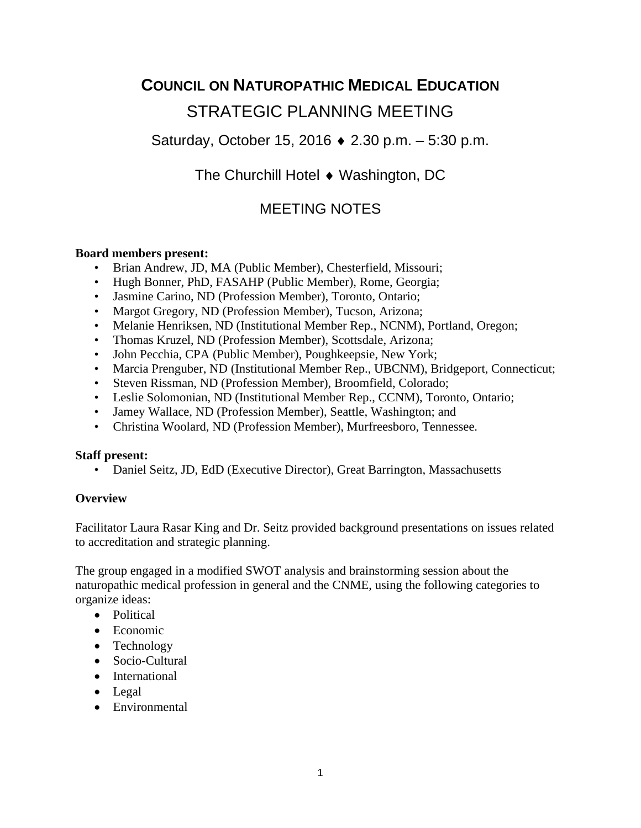# **COUNCIL ON NATUROPATHIC MEDICAL EDUCATION** STRATEGIC PLANNING MEETING

Saturday, October 15, 2016 ♦ 2.30 p.m. – 5:30 p.m.

The Churchill Hotel ♦ Washington, DC

# MEETING NOTES

#### **Board members present:**

- Brian Andrew, JD, MA (Public Member), Chesterfield, Missouri;
- Hugh Bonner, PhD, FASAHP (Public Member), Rome, Georgia;
- Jasmine Carino, ND (Profession Member), Toronto, Ontario;
- Margot Gregory, ND (Profession Member), Tucson, Arizona;
- Melanie Henriksen, ND (Institutional Member Rep., NCNM), Portland, Oregon;
- Thomas Kruzel, ND (Profession Member), Scottsdale, Arizona;
- John Pecchia, CPA (Public Member), Poughkeepsie, New York;
- Marcia Prenguber, ND (Institutional Member Rep., UBCNM), Bridgeport, Connecticut;
- Steven Rissman, ND (Profession Member), Broomfield, Colorado;
- Leslie Solomonian, ND (Institutional Member Rep., CCNM), Toronto, Ontario;
- Jamey Wallace, ND (Profession Member), Seattle, Washington; and
- Christina Woolard, ND (Profession Member), Murfreesboro, Tennessee.

#### **Staff present:**

• Daniel Seitz, JD, EdD (Executive Director), Great Barrington, Massachusetts

#### **Overview**

Facilitator Laura Rasar King and Dr. Seitz provided background presentations on issues related to accreditation and strategic planning.

The group engaged in a modified SWOT analysis and brainstorming session about the naturopathic medical profession in general and the CNME, using the following categories to organize ideas:

- Political
- Economic
- Technology
- Socio-Cultural
- International
- Legal
- Environmental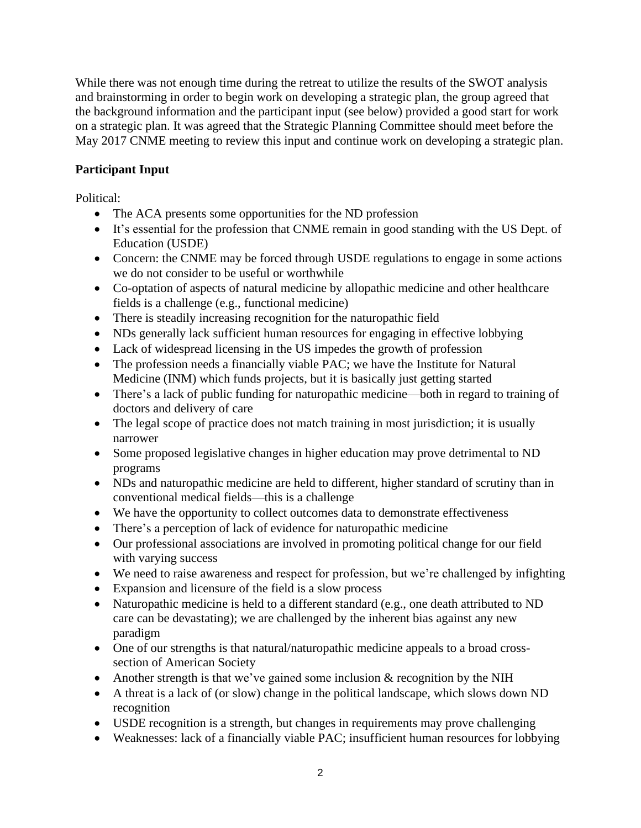While there was not enough time during the retreat to utilize the results of the SWOT analysis and brainstorming in order to begin work on developing a strategic plan, the group agreed that the background information and the participant input (see below) provided a good start for work on a strategic plan. It was agreed that the Strategic Planning Committee should meet before the May 2017 CNME meeting to review this input and continue work on developing a strategic plan.

### **Participant Input**

Political:

- The ACA presents some opportunities for the ND profession
- It's essential for the profession that CNME remain in good standing with the US Dept. of Education (USDE)
- Concern: the CNME may be forced through USDE regulations to engage in some actions we do not consider to be useful or worthwhile
- Co-optation of aspects of natural medicine by allopathic medicine and other healthcare fields is a challenge (e.g., functional medicine)
- There is steadily increasing recognition for the naturopathic field
- NDs generally lack sufficient human resources for engaging in effective lobbying
- Lack of widespread licensing in the US impedes the growth of profession
- The profession needs a financially viable PAC; we have the Institute for Natural Medicine (INM) which funds projects, but it is basically just getting started
- There's a lack of public funding for naturopathic medicine—both in regard to training of doctors and delivery of care
- The legal scope of practice does not match training in most jurisdiction; it is usually narrower
- Some proposed legislative changes in higher education may prove detrimental to ND programs
- NDs and naturopathic medicine are held to different, higher standard of scrutiny than in conventional medical fields—this is a challenge
- We have the opportunity to collect outcomes data to demonstrate effectiveness
- There's a perception of lack of evidence for naturopathic medicine
- Our professional associations are involved in promoting political change for our field with varying success
- We need to raise awareness and respect for profession, but we're challenged by infighting
- Expansion and licensure of the field is a slow process
- Naturopathic medicine is held to a different standard (e.g., one death attributed to ND care can be devastating); we are challenged by the inherent bias against any new paradigm
- One of our strengths is that natural/naturopathic medicine appeals to a broad crosssection of American Society
- Another strength is that we've gained some inclusion & recognition by the NIH
- A threat is a lack of (or slow) change in the political landscape, which slows down ND recognition
- USDE recognition is a strength, but changes in requirements may prove challenging
- Weaknesses: lack of a financially viable PAC; insufficient human resources for lobbying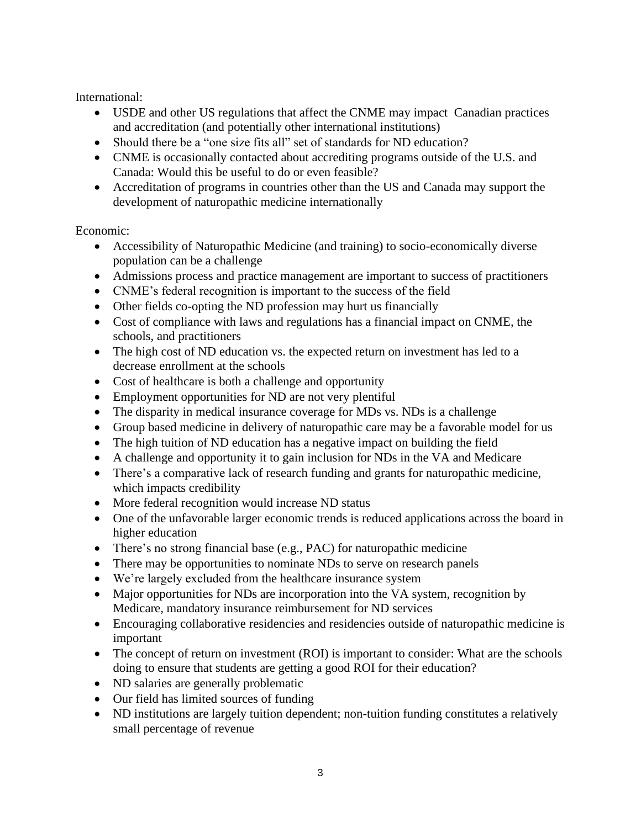International:

- USDE and other US regulations that affect the CNME may impact Canadian practices and accreditation (and potentially other international institutions)
- Should there be a "one size fits all" set of standards for ND education?
- CNME is occasionally contacted about accrediting programs outside of the U.S. and Canada: Would this be useful to do or even feasible?
- Accreditation of programs in countries other than the US and Canada may support the development of naturopathic medicine internationally

#### Economic:

- Accessibility of Naturopathic Medicine (and training) to socio-economically diverse population can be a challenge
- Admissions process and practice management are important to success of practitioners
- CNME's federal recognition is important to the success of the field
- Other fields co-opting the ND profession may hurt us financially
- Cost of compliance with laws and regulations has a financial impact on CNME, the schools, and practitioners
- The high cost of ND education vs. the expected return on investment has led to a decrease enrollment at the schools
- Cost of healthcare is both a challenge and opportunity
- Employment opportunities for ND are not very plentiful
- The disparity in medical insurance coverage for MDs vs. NDs is a challenge
- Group based medicine in delivery of naturopathic care may be a favorable model for us
- The high tuition of ND education has a negative impact on building the field
- A challenge and opportunity it to gain inclusion for NDs in the VA and Medicare
- There's a comparative lack of research funding and grants for naturopathic medicine, which impacts credibility
- More federal recognition would increase ND status
- One of the unfavorable larger economic trends is reduced applications across the board in higher education
- There's no strong financial base (e.g., PAC) for naturopathic medicine
- There may be opportunities to nominate NDs to serve on research panels
- We're largely excluded from the healthcare insurance system
- Major opportunities for NDs are incorporation into the VA system, recognition by Medicare, mandatory insurance reimbursement for ND services
- Encouraging collaborative residencies and residencies outside of naturopathic medicine is important
- The concept of return on investment (ROI) is important to consider: What are the schools doing to ensure that students are getting a good ROI for their education?
- ND salaries are generally problematic
- Our field has limited sources of funding
- ND institutions are largely tuition dependent; non-tuition funding constitutes a relatively small percentage of revenue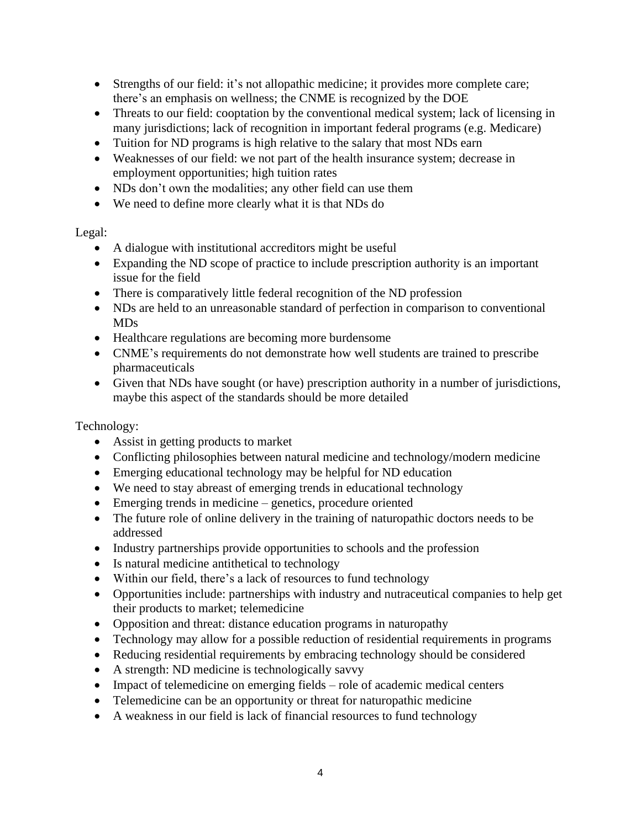- Strengths of our field: it's not allopathic medicine; it provides more complete care; there's an emphasis on wellness; the CNME is recognized by the DOE
- Threats to our field: cooptation by the conventional medical system; lack of licensing in many jurisdictions; lack of recognition in important federal programs (e.g. Medicare)
- Tuition for ND programs is high relative to the salary that most NDs earn
- Weaknesses of our field: we not part of the health insurance system; decrease in employment opportunities; high tuition rates
- NDs don't own the modalities; any other field can use them
- We need to define more clearly what it is that NDs do

## Legal:

- A dialogue with institutional accreditors might be useful
- Expanding the ND scope of practice to include prescription authority is an important issue for the field
- There is comparatively little federal recognition of the ND profession
- NDs are held to an unreasonable standard of perfection in comparison to conventional MDs
- Healthcare regulations are becoming more burdensome
- CNME's requirements do not demonstrate how well students are trained to prescribe pharmaceuticals
- Given that NDs have sought (or have) prescription authority in a number of jurisdictions, maybe this aspect of the standards should be more detailed

Technology:

- Assist in getting products to market
- Conflicting philosophies between natural medicine and technology/modern medicine
- Emerging educational technology may be helpful for ND education
- We need to stay abreast of emerging trends in educational technology
- Emerging trends in medicine genetics, procedure oriented
- The future role of online delivery in the training of naturopathic doctors needs to be addressed
- Industry partnerships provide opportunities to schools and the profession
- Is natural medicine antithetical to technology
- Within our field, there's a lack of resources to fund technology
- Opportunities include: partnerships with industry and nutraceutical companies to help get their products to market; telemedicine
- Opposition and threat: distance education programs in naturopathy
- Technology may allow for a possible reduction of residential requirements in programs
- Reducing residential requirements by embracing technology should be considered
- A strength: ND medicine is technologically savvy
- Impact of telemedicine on emerging fields role of academic medical centers
- Telemedicine can be an opportunity or threat for naturopathic medicine
- A weakness in our field is lack of financial resources to fund technology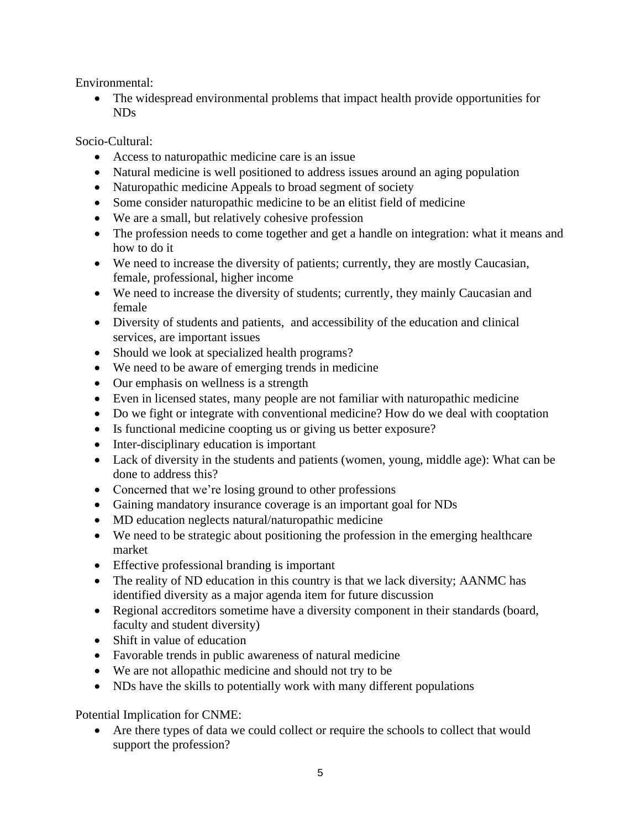Environmental:

• The widespread environmental problems that impact health provide opportunities for NDs

Socio-Cultural:

- Access to naturopathic medicine care is an issue
- Natural medicine is well positioned to address issues around an aging population
- Naturopathic medicine Appeals to broad segment of society
- Some consider naturopathic medicine to be an elitist field of medicine
- We are a small, but relatively cohesive profession
- The profession needs to come together and get a handle on integration: what it means and how to do it
- We need to increase the diversity of patients; currently, they are mostly Caucasian, female, professional, higher income
- We need to increase the diversity of students; currently, they mainly Caucasian and female
- Diversity of students and patients, and accessibility of the education and clinical services, are important issues
- Should we look at specialized health programs?
- We need to be aware of emerging trends in medicine
- Our emphasis on wellness is a strength
- Even in licensed states, many people are not familiar with naturopathic medicine
- Do we fight or integrate with conventional medicine? How do we deal with cooptation
- Is functional medicine coopting us or giving us better exposure?
- Inter-disciplinary education is important
- Lack of diversity in the students and patients (women, young, middle age): What can be done to address this?
- Concerned that we're losing ground to other professions
- Gaining mandatory insurance coverage is an important goal for NDs
- MD education neglects natural/naturopathic medicine
- We need to be strategic about positioning the profession in the emerging healthcare market
- Effective professional branding is important
- The reality of ND education in this country is that we lack diversity; AANMC has identified diversity as a major agenda item for future discussion
- Regional accreditors sometime have a diversity component in their standards (board, faculty and student diversity)
- Shift in value of education
- Favorable trends in public awareness of natural medicine
- We are not allopathic medicine and should not try to be
- NDs have the skills to potentially work with many different populations

Potential Implication for CNME:

• Are there types of data we could collect or require the schools to collect that would support the profession?